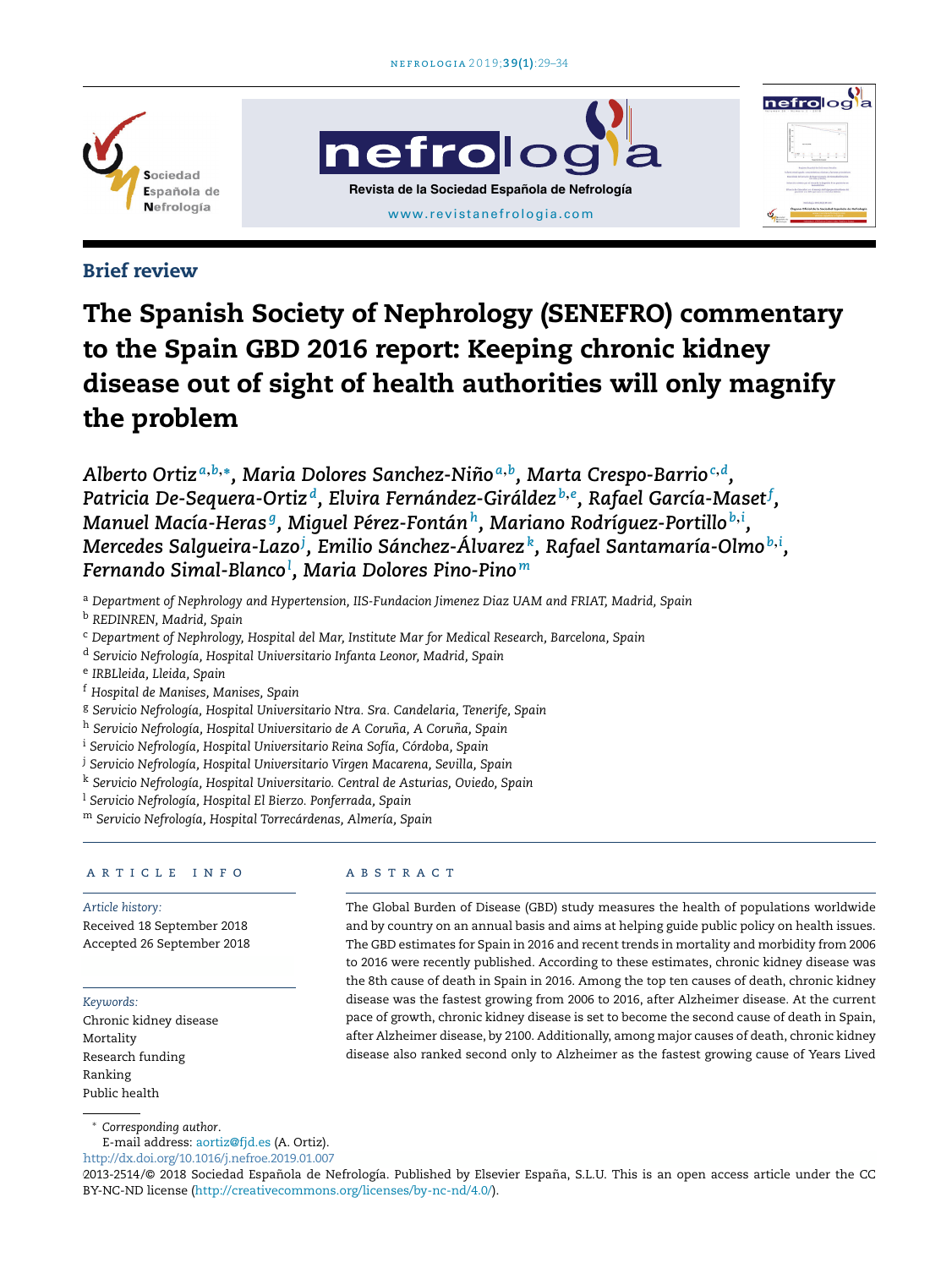





# Brief review

# The Spanish Society of Nephrology (SENEFRO) commentary to the Spain GBD 2016 report: Keeping chronic kidney disease out of sight of health authorities will only magnify the problem

*Alberto Ortiz <sup>a</sup>*,*b*,<sup>∗</sup> *, Maria Dolores Sanchez-Nino˜ a*,*b , Marta Crespo-Barrio<sup>c</sup>*,*<sup>d</sup> , Patricia De-Sequera-Ortiz <sup>d</sup> , Elvira Fernández-Giráldez <sup>b</sup>*,*<sup>e</sup> , Rafael García-Maset<sup>f</sup> , Manuel Macía-Heras <sup>g</sup> , Miguel Pérez-Fontán<sup>h</sup> , Mariano Rodríguez-Portillo <sup>b</sup>*,*<sup>i</sup> , Mercedes Salgueira-Lazo<sup>j</sup> , Emilio Sánchez-Álvarez <sup>k</sup> , Rafael Santamaría-Olmo <sup>b</sup>*,*<sup>i</sup> , Fernando Simal-Blanco<sup>l</sup> , Maria Dolores Pino-Pino <sup>m</sup>*

<sup>a</sup> *Department of Nephrology and Hypertension, IIS-Fundacion Jimenez Diaz UAM and FRIAT, Madrid, Spain*

<sup>b</sup> *REDINREN, Madrid, Spain*

<sup>c</sup> *Department of Nephrology, Hospital del Mar, Institute Mar for Medical Research, Barcelona, Spain*

<sup>d</sup> *Servicio Nefrología, Hospital Universitario Infanta Leonor, Madrid, Spain*

e *IRBLleida, Lleida, Spain*

<sup>f</sup> *Hospital de Manises, Manises, Spain*

<sup>g</sup> *Servicio Nefrología, Hospital Universitario Ntra. Sra. Candelaria, Tenerife, Spain*

<sup>h</sup> *Servicio Nefrología, Hospital Universitario de A Coruna, ˜ A Coruna, ˜ Spain*

<sup>i</sup> *Servicio Nefrología, Hospital Universitario Reina Sofía, Córdoba, Spain*

<sup>j</sup> *Servicio Nefrología, Hospital Universitario Virgen Macarena, Sevilla, Spain*

<sup>k</sup> *Servicio Nefrología, Hospital Universitario. Central de Asturias, Oviedo, Spain*

<sup>l</sup> *Servicio Nefrología, Hospital El Bierzo. Ponferrada, Spain*

<sup>m</sup> *Servicio Nefrología, Hospital Torrecárdenas, Almería, Spain*

#### a r t i c l e i n f o

*Article history:* Received 18 September 2018 Accepted 26 September 2018

*Keywords:*

Chronic kidney disease Mortality Research funding Ranking Public health

#### A B S T R A C T

The Global Burden of Disease (GBD) study measures the health of populations worldwide and by country on an annual basis and aims at helping guide public policy on health issues. The GBD estimates for Spain in 2016 and recent trends in mortality and morbidity from 2006 to 2016 were recently published. According to these estimates, chronic kidney disease was the 8th cause of death in Spain in 2016. Among the top ten causes of death, chronic kidney disease was the fastest growing from 2006 to 2016, after Alzheimer disease. At the current pace of growth, chronic kidney disease is set to become the second cause of death in Spain, after Alzheimer disease, by 2100. Additionally, among major causes of death, chronic kidney disease also ranked second only to Alzheimer as the fastest growing cause of Years Lived

<sup>∗</sup> *Corresponding author*.

E-mail address: aortiz@fjd.es (A. Ortiz).

http://dx.doi.org/10.1016/j.nefroe.2019.01.007

2013-2514/© 2018 Sociedad Española de Nefrología. Published by Elsevier España, S.L.U. This is an open access article under the CC BY-NC-ND license (http://creativecommons.org/licenses/by-nc-nd/4.0/).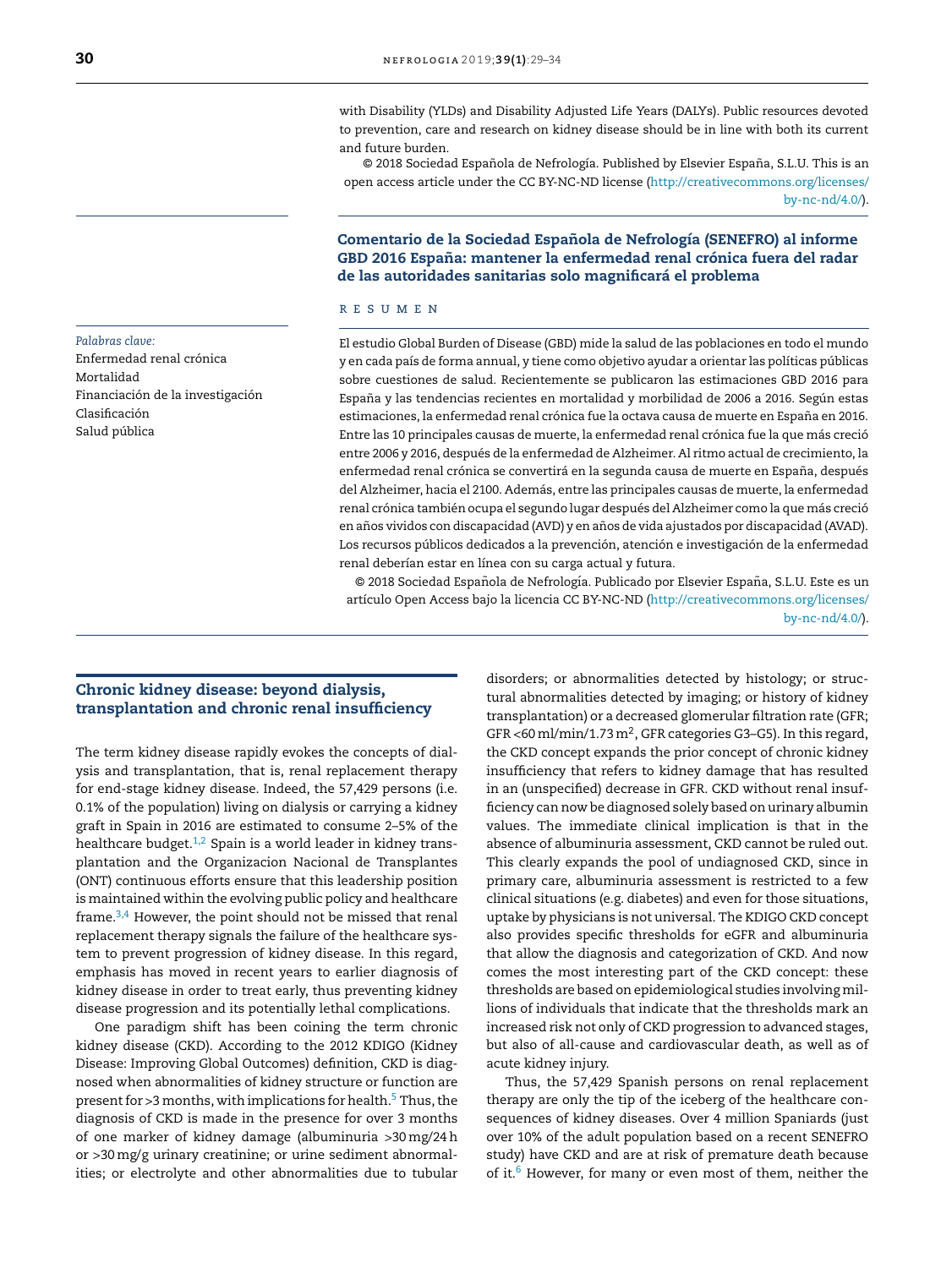with Disability (YLDs) and Disability Adjusted Life Years (DALYs). Public resources devoted to prevention, care and research on kidney disease should be in line with both its current and future burden.

© 2018 Sociedad Española de Nefrología. Published by Elsevier España, S.L.U. This is an open access article under the CC BY-NC-ND license (http://creativecommons.org/licenses/ by-nc-nd/4.0/).

#### Comentario de la Sociedad Espanola ˜ de Nefrología (SENEFRO) al informe GBD 2016 España: mantener la enfermedad renal crónica fuera del radar de las autoridades sanitarias solo magnificará el problema

#### r e s u m e n

El estudio Global Burden of Disease (GBD) mide la salud de las poblaciones en todo el mundo y en cada país de forma annual, y tiene como objetivo ayudar a orientar las políticas públicas sobre cuestiones de salud. Recientemente se publicaron las estimaciones GBD 2016 para España y las tendencias recientes en mortalidad y morbilidad de 2006 a 2016. Según estas estimaciones, la enfermedad renal crónica fue la octava causa de muerte en España en 2016. Entre las 10 principales causas de muerte, la enfermedad renal crónica fue la que más creció entre 2006 y 2016, después de la enfermedad de Alzheimer. Al ritmo actual de crecimiento, la enfermedad renal crónica se convertirá en la segunda causa de muerte en España, después del Alzheimer, hacia el 2100. Además, entre las principales causas de muerte, la enfermedad renal crónica también ocupa el segundo lugar después del Alzheimer como la que más creció en años vividos con discapacidad (AVD) y en años de vida ajustados por discapacidad (AVAD). Los recursos públicos dedicados a la prevención, atención e investigación de la enfermedad renal deberían estar en línea con su carga actual y futura.

© 2018 Sociedad Española de Nefrología. Publicado por Elsevier España, S.L.U. Este es un artículo Open Access bajo la licencia CC BY-NC-ND (http://creativecommons.org/licenses/ by-nc-nd/4.0/).

#### Chronic kidney disease: beyond dialysis, transplantation and chronic renal insufficiency

The term kidney disease rapidly evokes the concepts of dialysis and transplantation, that is, renal replacement therapy for end-stage kidney disease. Indeed, the 57,429 persons (i.e. 0.1% of the population) living on dialysis or carrying a kidney graft in Spain in 2016 are estimated to consume 2–5% of the healthcare budget. $1,2$  Spain is a world leader in kidney transplantation and the Organizacion Nacional de Transplantes (ONT) continuous efforts ensure that this leadership position is maintained within the evolving public policy and healthcare frame.<sup>3,4</sup> However, the point should not be missed that renal replacement therapy signals the failure of the healthcare system to prevent progression of kidney disease. In this regard, emphasis has moved in recent years to earlier diagnosis of kidney disease in order to treat early, thus preventing kidney disease progression and its potentially lethal complications.

One paradigm shift has been coining the term chronic kidney disease (CKD). According to the 2012 KDIGO (Kidney Disease: Improving Global Outcomes) definition, CKD is diagnosed when abnormalities of kidney structure or function are present for  $>3$  months, with implications for health.<sup>5</sup> Thus, the diagnosis of CKD is made in the presence for over 3 months of one marker of kidney damage (albuminuria >30mg/24h or >30mg/g urinary creatinine; or urine sediment abnormalities; or electrolyte and other abnormalities due to tubular disorders; or abnormalities detected by histology; or structural abnormalities detected by imaging; or history of kidney transplantation) or a decreased glomerular filtration rate (GFR; GFR <60 ml/min/1.73 m<sup>2</sup>, GFR categories G3-G5). In this regard, the CKD concept expands the prior concept of chronic kidney insufficiency that refers to kidney damage that has resulted in an (unspecified) decrease in GFR. CKD without renal insufficiency can now be diagnosed solely based on urinary albumin values. The immediate clinical implication is that in the absence of albuminuria assessment, CKD cannot be ruled out. This clearly expands the pool of undiagnosed CKD, since in primary care, albuminuria assessment is restricted to a few clinical situations (e.g. diabetes) and even for those situations, uptake by physicians is not universal. The KDIGO CKD concept also provides specific thresholds for eGFR and albuminuria that allow the diagnosis and categorization of CKD. And now comes the most interesting part of the CKD concept: these thresholds are based on epidemiological studies involving millions of individuals that indicate that the thresholds mark an increased risk not only of CKD progression to advanced stages, but also of all-cause and cardiovascular death, as well as of acute kidney injury.

Thus, the 57,429 Spanish persons on renal replacement therapy are only the tip of the iceberg of the healthcare consequences of kidney diseases. Over 4 million Spaniards (just over 10% of the adult population based on a recent SENEFRO study) have CKD and are at risk of premature death because of it.<sup>6</sup> However, for many or even most of them, neither the

*Palabras clave:* Enfermedad renal crónica Mortalidad Financiación de la investigación Clasificación Salud pública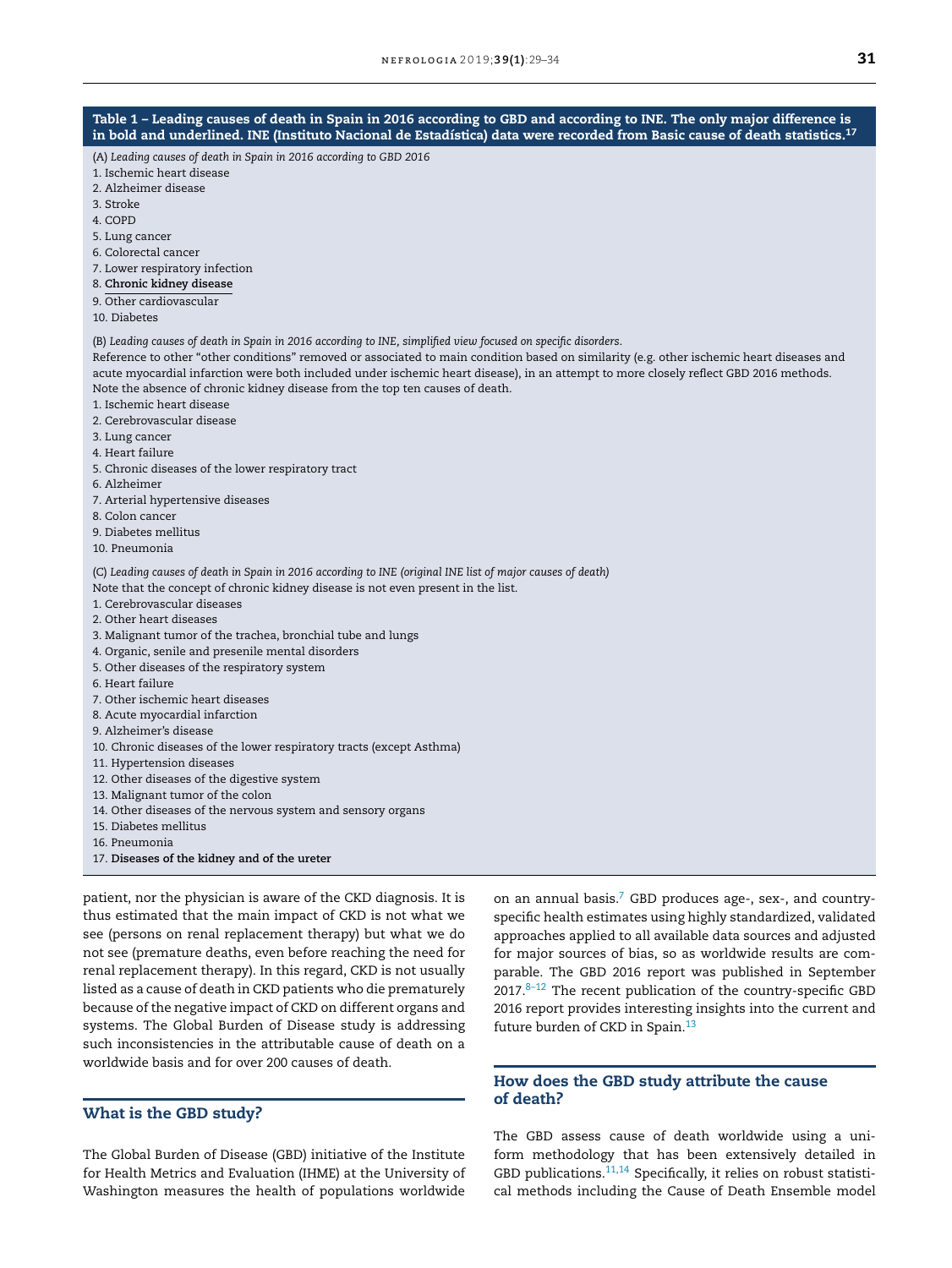(A) *Leading causes of death in Spain in 2016 according to GBD 2016*

- 1. Ischemic heart disease
- 2. Alzheimer disease
- 3. Stroke
- 4. COPD
- 5. Lung cancer
- 6. Colorectal cancer
- 7. Lower respiratory infection
- 8. **Chronic kidney disease**
- 9. Other cardiovascular
- 10. Diabetes

(B) Leading causes of death in Spain in 2016 according to INE, simplified view focused on specific disorders.

Reference to other "other conditions" removed or associated to main condition based on similarity (e.g. other ischemic heart diseases and acute myocardial infarction were both included under ischemic heart disease), in an attempt to more closely reflect GBD 2016 methods. Note the absence of chronic kidney disease from the top ten causes of death.

- 1. Ischemic heart disease
- 2. Cerebrovascular disease
- 3. Lung cancer
- 4. Heart failure
- 5. Chronic diseases of the lower respiratory tract
- 6. Alzheimer
- 7. Arterial hypertensive diseases
- 8. Colon cancer
- 9. Diabetes mellitus
- 10. Pneumonia

(C) Leading causes of death in Spain in 2016 according to INE (original INE list of major causes of death) Note that the concept of chronic kidney disease is not even present in the list.

- 1. Cerebrovascular diseases
- 2. Other heart diseases
- 3. Malignant tumor of the trachea, bronchial tube and lungs
- 4. Organic, senile and presenile mental disorders
- 5. Other diseases of the respiratory system
- 6. Heart failure
- 7. Other ischemic heart diseases
- 8. Acute myocardial infarction
- 9. Alzheimer's disease
- 10. Chronic diseases of the lower respiratory tracts (except Asthma)
- 11. Hypertension diseases
- 12. Other diseases of the digestive system
- 13. Malignant tumor of the colon
- 14. Other diseases of the nervous system and sensory organs
- 15. Diabetes mellitus
- 16. Pneumonia
- 17. **Diseases of the kidney and of the ureter**

patient, nor the physician is aware of the CKD diagnosis. It is thus estimated that the main impact of CKD is not what we see (persons on renal replacement therapy) but what we do not see (premature deaths, even before reaching the need for renal replacement therapy). In this regard, CKD is not usually listed as a cause of death in CKD patients who die prematurely because of the negative impact of CKD on different organs and systems. The Global Burden of Disease study is addressing such inconsistencies in the attributable cause of death on a worldwide basis and for over 200 causes of death.

#### What is the GBD study?

The Global Burden of Disease (GBD) initiative of the Institute for Health Metrics and Evaluation (IHME) at the University of Washington measures the health of populations worldwide on an annual basis.<sup>7</sup> GBD produces age-, sex-, and countryspecific health estimates using highly standardized, validated approaches applied to all available data sources and adjusted for major sources of bias, so as worldwide results are comparable. The GBD 2016 report was published in September  $2017.8-12$  The recent publication of the country-specific GBD 2016 report provides interesting insights into the current and future burden of CKD in Spain.<sup>13</sup>

## How does the GBD study attribute the cause of death?

The GBD assess cause of death worldwide using a uniform methodology that has been extensively detailed in GBD publications.<sup>11,14</sup> Specifically, it relies on robust statistical methods including the Cause of Death Ensemble model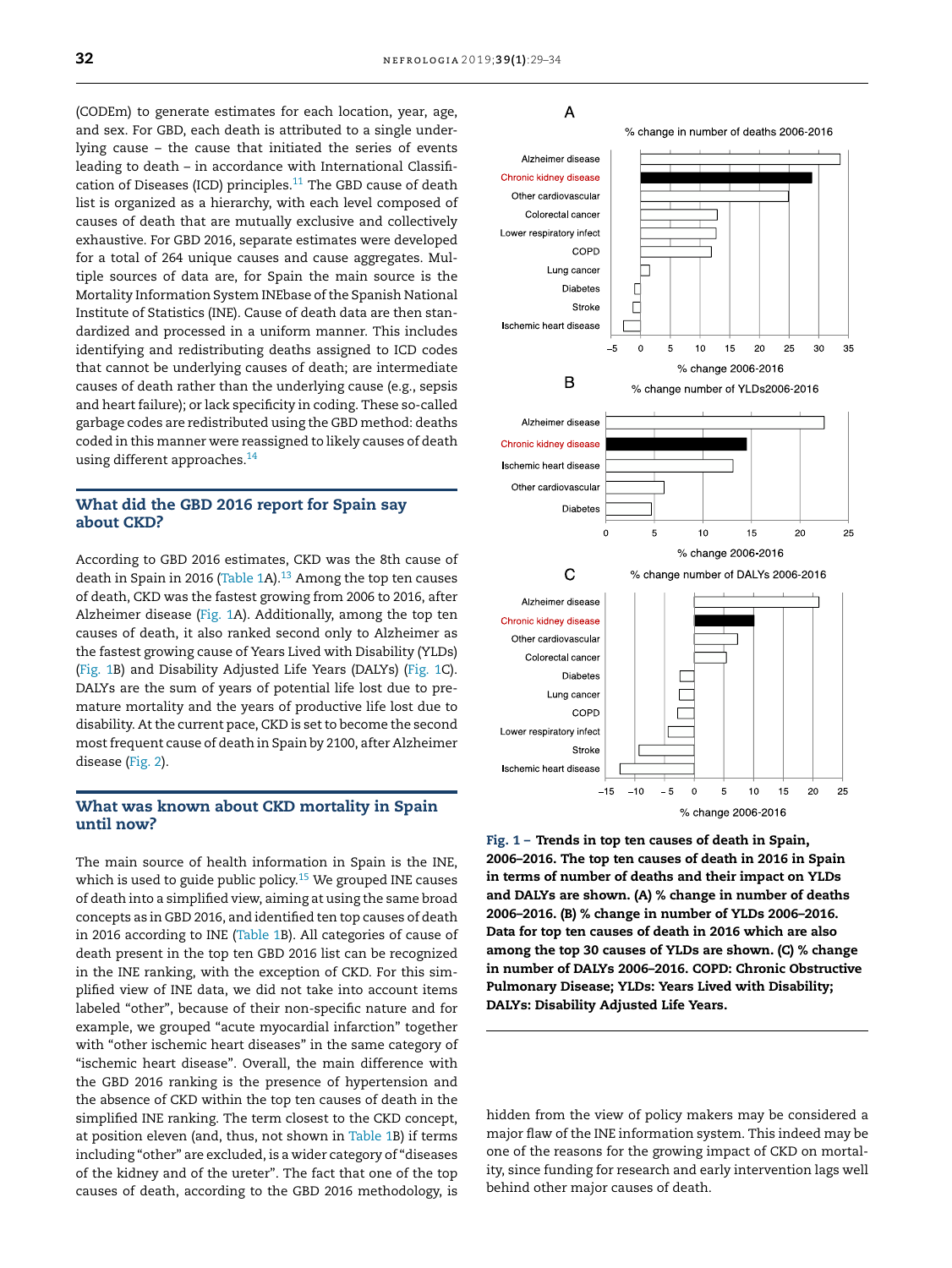(CODEm) to generate estimates for each location, year, age, and sex. For GBD, each death is attributed to a single underlying cause – the cause that initiated the series of events leading to death – in accordance with International Classification of Diseases (ICD) principles. $11$  The GBD cause of death list is organized as a hierarchy, with each level composed of causes of death that are mutually exclusive and collectively exhaustive. For GBD 2016, separate estimates were developed for a total of 264 unique causes and cause aggregates. Multiple sources of data are, for Spain the main source is the Mortality Information System INEbase of the Spanish National Institute of Statistics (INE). Cause of death data are then standardized and processed in a uniform manner. This includes identifying and redistributing deaths assigned to ICD codes that cannot be underlying causes of death; are intermediate causes of death rather than the underlying cause (e.g., sepsis and heart failure); or lack specificity in coding. These so-called garbage codes are redistributed using the GBD method: deaths coded in this manner were reassigned to likely causes of death using different approaches.<sup>14</sup>

### What did the GBD 2016 report for Spain say about CKD?

According to GBD 2016 estimates, CKD was the 8th cause of death in Spain in 2016 (Table 1A). $13$  Among the top ten causes of death, CKD was the fastest growing from 2006 to 2016, after Alzheimer disease (Fig. 1A). Additionally, among the top ten causes of death, it also ranked second only to Alzheimer as the fastest growing cause of Years Lived with Disability (YLDs) (Fig. 1B) and Disability Adjusted Life Years (DALYs) (Fig. 1C). DALYs are the sum of years of potential life lost due to premature mortality and the years of productive life lost due to disability. At the current pace, CKD is set to become the second mostfrequent cause of death in Spain by 2100, after Alzheimer disease (Fig. 2).

#### What was known about CKD mortality in Spain until now?

The main source of health information in Spain is the INE, which is used to guide public policy.<sup>15</sup> We grouped INE causes of death into a simplified view, aiming at using the same broad concepts as in GBD 2016, and identified ten top causes of death in 2016 according to INE (Table 1B). All categories of cause of death present in the top ten GBD 2016 list can be recognized in the INE ranking, with the exception of CKD. For this simplified view of INE data, we did not take into account items labeled "other", because of their non-specific nature and for example, we grouped "acute myocardial infarction" together with "other ischemic heart diseases" in the same category of "ischemic heart disease". Overall, the main difference with the GBD 2016 ranking is the presence of hypertension and the absence of CKD within the top ten causes of death in the simplified INE ranking. The term closest to the CKD concept, at position eleven (and, thus, not shown in Table 1B) if terms including "other" are excluded, is a wider category of "diseases of the kidney and of the ureter". The fact that one of the top causes of death, according to the GBD 2016 methodology, is

# A



Fig. 1 – Trends in top ten causes of death in Spain, 2006–2016. The top ten causes of death in 2016 in Spain in terms of number of deaths and their impact on YLDs and DALYs are shown. (A) % change in number of deaths 2006–2016. (B) % change in number of YLDs 2006–2016. Data for top ten causes of death in 2016 which are also among the top 30 causes of YLDs are shown. (C) % change in number of DALYs 2006–2016. COPD: Chronic Obstructive Pulmonary Disease; YLDs: Years Lived with Disability; DALYs: Disability Adjusted Life Years.

hidden from the view of policy makers may be considered a major flaw of the INE information system. This indeed may be one of the reasons for the growing impact of CKD on mortality, since funding for research and early intervention lags well behind other major causes of death.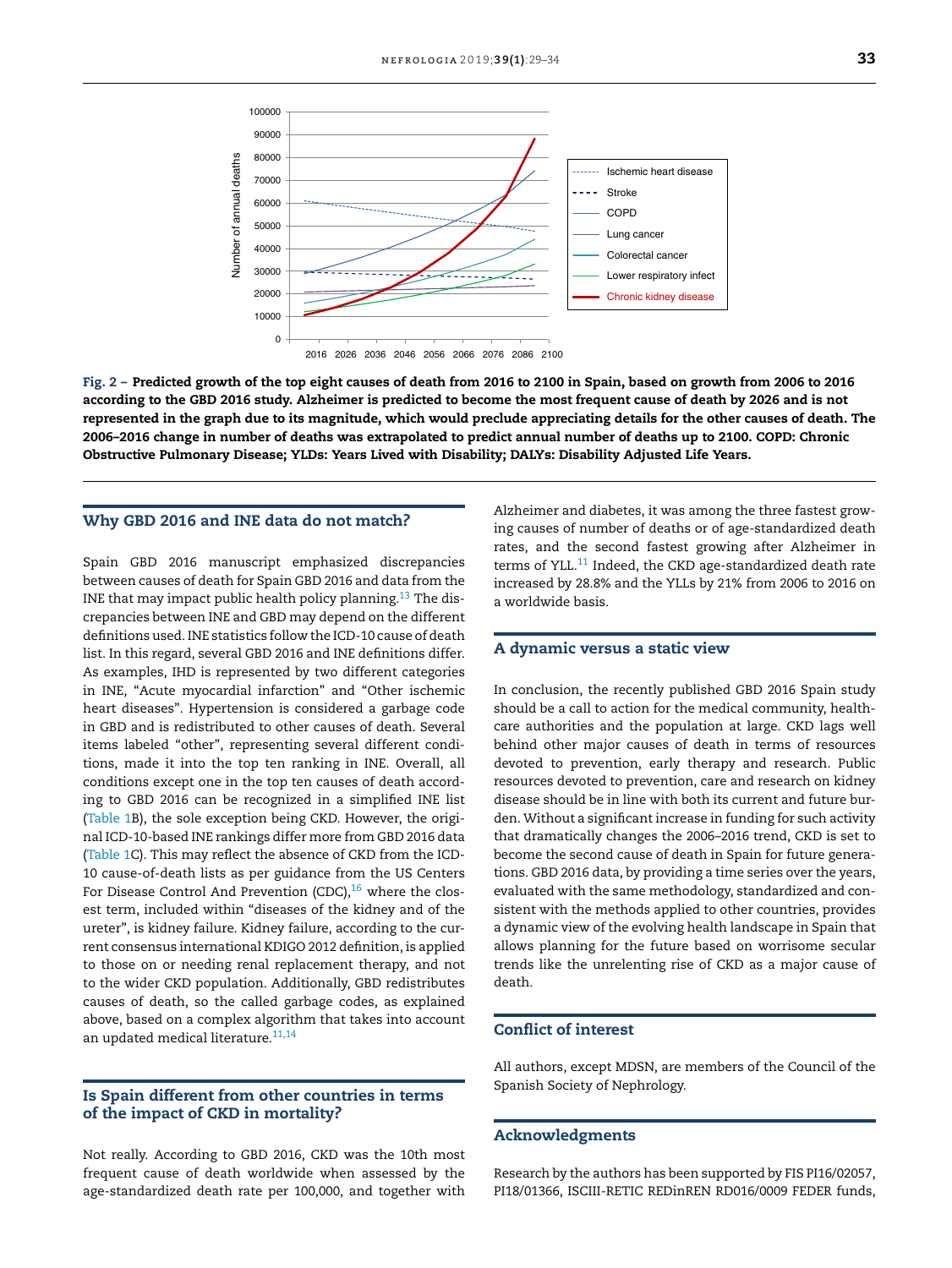

Fig. 2 – Predicted growth of the top eight causes of death from 2016 to 2100 in Spain, based on growth from 2006 to 2016 according to the GBD 2016 study. Alzheimer is predicted to become the most frequent cause of death by 2026 and is not represented in the graph due to its magnitude, which would preclude appreciating details for the other causes of death. The 2006–2016 change in number of deaths was extrapolated to predict annual number of deaths up to 2100. COPD: Chronic Obstructive Pulmonary Disease; YLDs: Years Lived with Disability; DALYs: Disability Adjusted Life Years.

#### Why GBD 2016 and INE data do not match?

Spain GBD 2016 manuscript emphasized discrepancies between causes of death for Spain GBD 2016 and data from the INE that may impact public health policy planning.<sup>13</sup> The discrepancies between INE and GBD may depend on the different definitions used. INE statistics follow the ICD-10 cause of death list. In this regard, several GBD 2016 and INE definitions differ. As examples, IHD is represented by two different categories in INE, "Acute myocardial infarction" and "Other ischemic heart diseases". Hypertension is considered a garbage code in GBD and is redistributed to other causes of death. Several items labeled "other", representing several different conditions, made it into the top ten ranking in INE. Overall, all conditions except one in the top ten causes of death according to GBD 2016 can be recognized in a simplified INE list (Table 1B), the sole exception being CKD. However, the original ICD-10-based INE rankings differ more from GBD 2016 data (Table 1C). This may reflect the absence of CKD from the ICD-10 cause-of-death lists as per guidance from the US Centers For Disease Control And Prevention (CDC), $16$  where the closest term, included within "diseases of the kidney and of the ureter", is kidney failure. Kidney failure, according to the current consensus international KDIGO 2012 definition, is applied to those on or needing renal replacement therapy, and not to the wider CKD population. Additionally, GBD redistributes causes of death, so the called garbage codes, as explained above, based on a complex algorithm that takes into account an updated medical literature.<sup>11,14</sup>

#### Is Spain different from other countries in terms of the impact of CKD in mortality?

Not really. According to GBD 2016, CKD was the 10th most frequent cause of death worldwide when assessed by the age-standardized death rate per 100,000, and together with

Alzheimer and diabetes, it was among the three fastest growing causes of number of deaths or of age-standardized death rates, and the second fastest growing after Alzheimer in terms of YLL.<sup>11</sup> Indeed, the CKD age-standardized death rate increased by 28.8% and the YLLs by 21% from 2006 to 2016 on a worldwide basis.

#### A dynamic versus a static view

In conclusion, the recently published GBD 2016 Spain study should be a call to action for the medical community, healthcare authorities and the population at large. CKD lags well behind other major causes of death in terms of resources devoted to prevention, early therapy and research. Public resources devoted to prevention, care and research on kidney disease should be in line with both its current and future burden. Without a significant increase in funding for such activity that dramatically changes the 2006–2016 trend, CKD is set to become the second cause of death in Spain for future generations. GBD 2016 data, by providing a time series over the years, evaluated with the same methodology, standardized and consistent with the methods applied to other countries, provides a dynamic view of the evolving health landscape in Spain that allows planning for the future based on worrisome secular trends like the unrelenting rise of CKD as a major cause of death.

## Conflict of interest

All authors, except MDSN, are members of the Council of the Spanish Society of Nephrology.

#### Acknowledgments

Research by the authors has been supported by FIS PI16/02057, PI18/01366, ISCIII-RETIC REDinREN RD016/0009 FEDER funds,